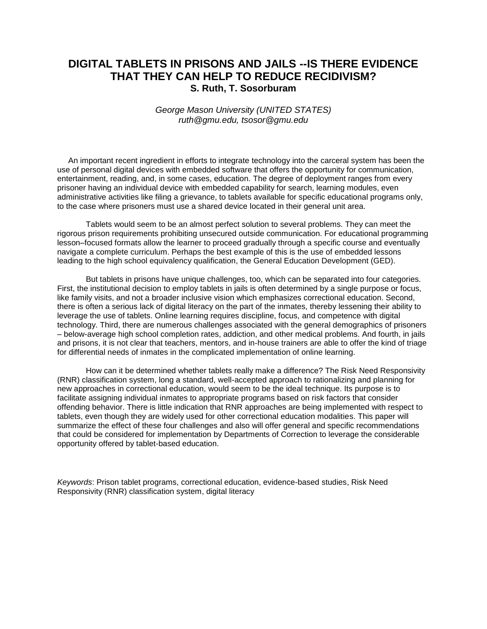# **DIGITAL TABLETS IN PRISONS AND JAILS --IS THERE EVIDENCE THAT THEY CAN HELP TO REDUCE RECIDIVISM? S. Ruth, T. Sosorburam**

*George Mason University (UNITED STATES) ruth@gmu.edu, tsosor@gmu.edu*

 An important recent ingredient in efforts to integrate technology into the carceral system has been the use of personal digital devices with embedded software that offers the opportunity for communication, entertainment, reading, and, in some cases, education. The degree of deployment ranges from every prisoner having an individual device with embedded capability for search, learning modules, even administrative activities like filing a grievance, to tablets available for specific educational programs only, to the case where prisoners must use a shared device located in their general unit area.

Tablets would seem to be an almost perfect solution to several problems. They can meet the rigorous prison requirements prohibiting unsecured outside communication. For educational programming lesson–focused formats allow the learner to proceed gradually through a specific course and eventually navigate a complete curriculum. Perhaps the best example of this is the use of embedded lessons leading to the high school equivalency qualification, the General Education Development (GED).

But tablets in prisons have unique challenges, too, which can be separated into four categories. First, the institutional decision to employ tablets in jails is often determined by a single purpose or focus, like family visits, and not a broader inclusive vision which emphasizes correctional education. Second, there is often a serious lack of digital literacy on the part of the inmates, thereby lessening their ability to leverage the use of tablets. Online learning requires discipline, focus, and competence with digital technology. Third, there are numerous challenges associated with the general demographics of prisoners – below-average high school completion rates, addiction, and other medical problems. And fourth, in jails and prisons, it is not clear that teachers, mentors, and in-house trainers are able to offer the kind of triage for differential needs of inmates in the complicated implementation of online learning.

How can it be determined whether tablets really make a difference? The Risk Need Responsivity (RNR) classification system, long a standard, well-accepted approach to rationalizing and planning for new approaches in correctional education, would seem to be the ideal technique. Its purpose is to facilitate assigning individual inmates to appropriate programs based on risk factors that consider offending behavior. There is little indication that RNR approaches are being implemented with respect to tablets, even though they are widely used for other correctional education modalities. This paper will summarize the effect of these four challenges and also will offer general and specific recommendations that could be considered for implementation by Departments of Correction to leverage the considerable opportunity offered by tablet-based education.

*Keywords*: Prison tablet programs, correctional education, evidence-based studies, Risk Need Responsivity (RNR) classification system, digital literacy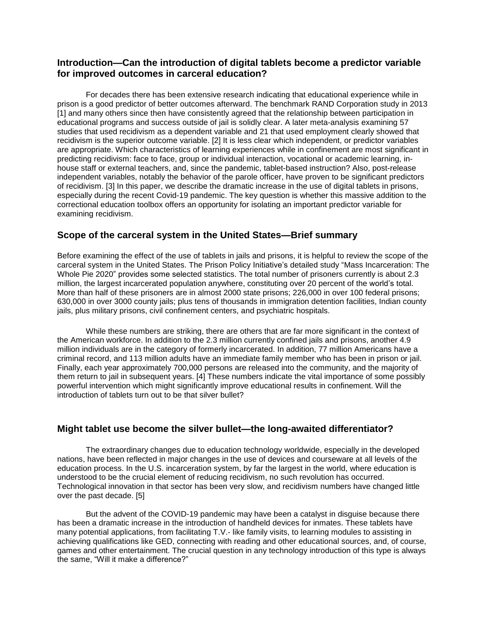## **Introduction—Can the introduction of digital tablets become a predictor variable for improved outcomes in carceral education?**

For decades there has been extensive research indicating that educational experience while in prison is a good predictor of better outcomes afterward. The benchmark RAND Corporation study in 2013 [1] and many others since then have consistently agreed that the relationship between participation in educational programs and success outside of jail is solidly clear. A later meta-analysis examining 57 studies that used recidivism as a dependent variable and 21 that used employment clearly showed that recidivism is the superior outcome variable. [2] It is less clear which independent, or predictor variables are appropriate. Which characteristics of learning experiences while in confinement are most significant in predicting recidivism: face to face, group or individual interaction, vocational or academic learning, inhouse staff or external teachers, and, since the pandemic, tablet-based instruction? Also, post-release independent variables, notably the behavior of the parole officer, have proven to be significant predictors of recidivism. [3] In this paper, we describe the dramatic increase in the use of digital tablets in prisons, especially during the recent Covid-19 pandemic. The key question is whether this massive addition to the correctional education toolbox offers an opportunity for isolating an important predictor variable for examining recidivism.

## **Scope of the carceral system in the United States—Brief summary**

Before examining the effect of the use of tablets in jails and prisons, it is helpful to review the scope of the carceral system in the United States. The Prison Policy Initiative's detailed study "Mass Incarceration: The Whole Pie 2020" provides some selected statistics. The total number of prisoners currently is about 2.3 million, the largest incarcerated population anywhere, constituting over 20 percent of the world's total. More than half of these prisoners are in almost 2000 state prisons; 226,000 in over 100 federal prisons; 630,000 in over 3000 county jails; plus tens of thousands in immigration detention facilities, Indian county jails, plus military prisons, civil confinement centers, and psychiatric hospitals.

While these numbers are striking, there are others that are far more significant in the context of the American workforce. In addition to the 2.3 million currently confined jails and prisons, another 4.9 million individuals are in the category of formerly incarcerated. In addition, 77 million Americans have a criminal record, and 113 million adults have an immediate family member who has been in prison or jail. Finally, each year approximately 700,000 persons are released into the community, and the majority of them return to jail in subsequent years. [4] These numbers indicate the vital importance of some possibly powerful intervention which might significantly improve educational results in confinement. Will the introduction of tablets turn out to be that silver bullet?

## **Might tablet use become the silver bullet—the long-awaited differentiator?**

The extraordinary changes due to education technology worldwide, especially in the developed nations, have been reflected in major changes in the use of devices and courseware at all levels of the education process. In the U.S. incarceration system, by far the largest in the world, where education is understood to be the crucial element of reducing recidivism, no such revolution has occurred. Technological innovation in that sector has been very slow, and recidivism numbers have changed little over the past decade. [5]

But the advent of the COVID-19 pandemic may have been a catalyst in disguise because there has been a dramatic increase in the introduction of handheld devices for inmates. These tablets have many potential applications, from facilitating T.V.- like family visits, to learning modules to assisting in achieving qualifications like GED, connecting with reading and other educational sources, and, of course, games and other entertainment. The crucial question in any technology introduction of this type is always the same, "Will it make a difference?"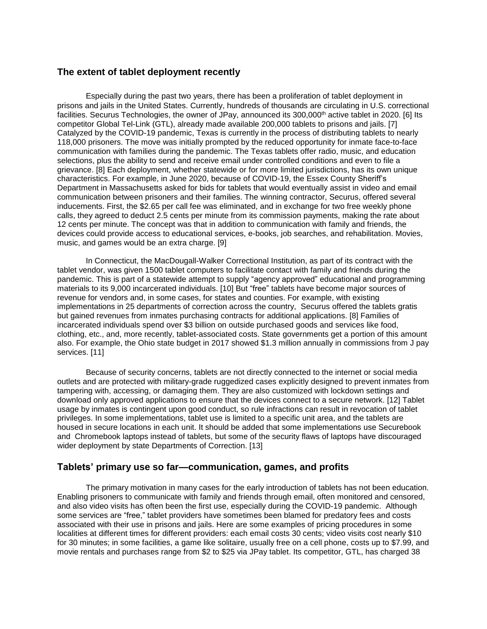#### **The extent of tablet deployment recently**

Especially during the past two years, there has been a proliferation of tablet deployment in prisons and jails in the United States. Currently, hundreds of thousands are circulating in U.S. correctional facilities. Securus Technologies, the owner of JPay, announced its 300,000<sup>th</sup> active tablet in 2020. [6] Its competitor Global Tel-Link (GTL), already made available 200,000 tablets to prisons and jails. [7] Catalyzed by the COVID-19 pandemic, Texas is currently in the process of distributing tablets to nearly 118,000 prisoners. The move was initially prompted by the reduced opportunity for inmate face-to-face communication with families during the pandemic. The Texas tablets offer radio, music, and education selections, plus the ability to send and receive email under controlled conditions and even to file a grievance. [8] Each deployment, whether statewide or for more limited jurisdictions, has its own unique characteristics. For example, in June 2020, because of COVID-19, the Essex County Sheriff's Department in Massachusetts asked for bids for tablets that would eventually assist in video and email communication between prisoners and their families. The winning contractor, Securus, offered several inducements. First, the \$2.65 per call fee was eliminated, and in exchange for two free weekly phone calls, they agreed to deduct 2.5 cents per minute from its commission payments, making the rate about 12 cents per minute. The concept was that in addition to communication with family and friends, the devices could provide access to educational services, e-books, job searches, and rehabilitation. Movies, music, and games would be an extra charge. [9]

In Connecticut, the MacDougall-Walker Correctional Institution, as part of its contract with the tablet vendor, was given 1500 tablet computers to facilitate contact with family and friends during the pandemic. This is part of a statewide attempt to supply "agency approved" educational and programming materials to its 9,000 incarcerated individuals. [10] But "free" tablets have become major sources of revenue for vendors and, in some cases, for states and counties. For example, with existing implementations in 25 departments of correction across the country, Securus offered the tablets gratis but gained revenues from inmates purchasing contracts for additional applications. [8] Families of incarcerated individuals spend over \$3 billion on outside purchased goods and services like food, clothing, etc., and, more recently, tablet-associated costs. State governments get a portion of this amount also. For example, the Ohio state budget in 2017 showed \$1.3 million annually in commissions from J pay services. [11]

Because of security concerns, tablets are not directly connected to the internet or social media outlets and are protected with military-grade ruggedized cases explicitly designed to prevent inmates from tampering with, accessing, or damaging them. They are also customized with lockdown settings and download only approved applications to ensure that the devices connect to a secure network. [12] Tablet usage by inmates is contingent upon good conduct, so rule infractions can result in revocation of tablet privileges. In some implementations, tablet use is limited to a specific unit area, and the tablets are housed in secure locations in each unit. It should be added that some implementations use Securebook and Chromebook laptops instead of tablets, but some of the security flaws of laptops have discouraged wider deployment by state Departments of Correction. [13]

## **Tablets' primary use so far—communication, games, and profits**

The primary motivation in many cases for the early introduction of tablets has not been education. Enabling prisoners to communicate with family and friends through email, often monitored and censored, and also video visits has often been the first use, especially during the COVID-19 pandemic. Although some services are "free," tablet providers have sometimes been blamed for predatory fees and costs associated with their use in prisons and jails. Here are some examples of pricing procedures in some localities at different times for different providers: each email costs 30 cents; video visits cost nearly \$10 for 30 minutes; in some facilities, a game like solitaire, usually free on a cell phone, costs up to \$7.99, and movie rentals and purchases range from \$2 to \$25 via JPay tablet. Its competitor, GTL, has charged 38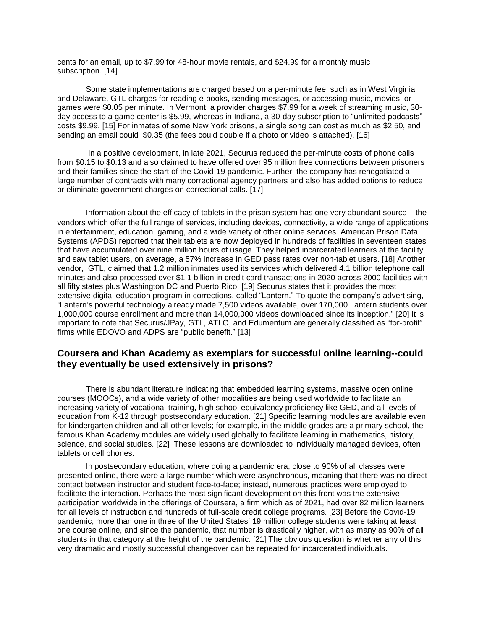cents for an email, up to \$7.99 for 48-hour movie rentals, and \$24.99 for a monthly music subscription. [14]

Some state implementations are charged based on a per-minute fee, such as in West Virginia and Delaware, GTL charges for reading e-books, sending messages, or accessing music, movies, or games were \$0.05 per minute. In Vermont, a provider charges \$7.99 for a week of streaming music, 30 day access to a game center is \$5.99, whereas in Indiana, a 30-day subscription to "unlimited podcasts" costs \$9.99. [15] For inmates of some New York prisons, a single song can cost as much as \$2.50, and sending an email could \$0.35 (the fees could double if a photo or video is attached). [16]

In a positive development, in late 2021, Securus reduced the per-minute costs of phone calls from \$0.15 to \$0.13 and also claimed to have offered over 95 million free connections between prisoners and their families since the start of the Covid-19 pandemic. Further, the company has renegotiated a large number of contracts with many correctional agency partners and also has added options to reduce or eliminate government charges on correctional calls. [17]

Information about the efficacy of tablets in the prison system has one very abundant source – the vendors which offer the full range of services, including devices, connectivity, a wide range of applications in entertainment, education, gaming, and a wide variety of other online services. American Prison Data Systems (APDS) reported that their tablets are now deployed in hundreds of facilities in seventeen states that have accumulated over nine million hours of usage. They helped incarcerated learners at the facility and saw tablet users, on average, a 57% increase in GED pass rates over non-tablet users. [18] Another vendor, GTL, claimed that 1.2 million inmates used its services which delivered 4.1 billion telephone call minutes and also processed over \$1.1 billion in credit card transactions in 2020 across 2000 facilities with all fifty states plus Washington DC and Puerto Rico. [19] Securus states that it provides the most extensive digital education program in corrections, called "Lantern." To quote the company's advertising, "Lantern's powerful technology already made 7,500 videos available, over 170,000 Lantern students over 1,000,000 course enrollment and more than 14,000,000 videos downloaded since its inception." [20] It is important to note that Securus/JPay, GTL, ATLO, and Edumentum are generally classified as "for-profit" firms while EDOVO and ADPS are "public benefit." [13]

## **Coursera and Khan Academy as exemplars for successful online learning--could they eventually be used extensively in prisons?**

There is abundant literature indicating that embedded learning systems, massive open online courses (MOOCs), and a wide variety of other modalities are being used worldwide to facilitate an increasing variety of vocational training, high school equivalency proficiency like GED, and all levels of education from K-12 through postsecondary education. [21] Specific learning modules are available even for kindergarten children and all other levels; for example, in the middle grades are a primary school, the famous Khan Academy modules are widely used globally to facilitate learning in mathematics, history, science, and social studies. [22] These lessons are downloaded to individually managed devices, often tablets or cell phones.

In postsecondary education, where doing a pandemic era, close to 90% of all classes were presented online, there were a large number which were asynchronous, meaning that there was no direct contact between instructor and student face-to-face; instead, numerous practices were employed to facilitate the interaction. Perhaps the most significant development on this front was the extensive participation worldwide in the offerings of Coursera, a firm which as of 2021, had over 82 million learners for all levels of instruction and hundreds of full-scale credit college programs. [23] Before the Covid-19 pandemic, more than one in three of the United States' 19 million college students were taking at least one course online, and since the pandemic, that number is drastically higher, with as many as 90% of all students in that category at the height of the pandemic. [21] The obvious question is whether any of this very dramatic and mostly successful changeover can be repeated for incarcerated individuals.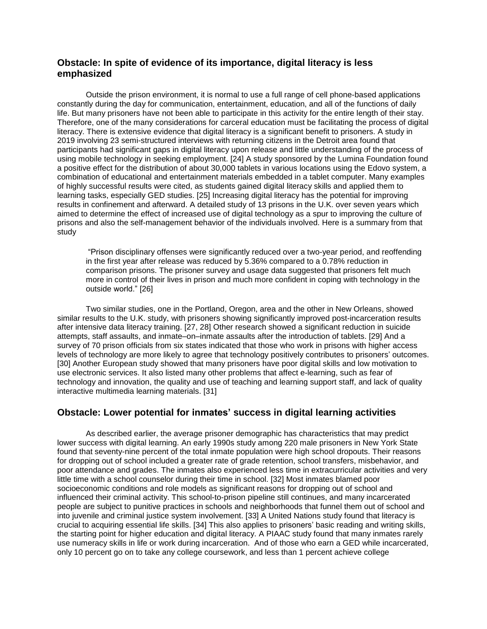## **Obstacle: In spite of evidence of its importance, digital literacy is less emphasized**

Outside the prison environment, it is normal to use a full range of cell phone-based applications constantly during the day for communication, entertainment, education, and all of the functions of daily life. But many prisoners have not been able to participate in this activity for the entire length of their stay. Therefore, one of the many considerations for carceral education must be facilitating the process of digital literacy. There is extensive evidence that digital literacy is a significant benefit to prisoners. A study in 2019 involving 23 semi-structured interviews with returning citizens in the Detroit area found that participants had significant gaps in digital literacy upon release and little understanding of the process of using mobile technology in seeking employment. [24] A study sponsored by the Lumina Foundation found a positive effect for the distribution of about 30,000 tablets in various locations using the Edovo system, a combination of educational and entertainment materials embedded in a tablet computer. Many examples of highly successful results were cited, as students gained digital literacy skills and applied them to learning tasks, especially GED studies. [25] Increasing digital literacy has the potential for improving results in confinement and afterward. A detailed study of 13 prisons in the U.K. over seven years which aimed to determine the effect of increased use of digital technology as a spur to improving the culture of prisons and also the self-management behavior of the individuals involved. Here is a summary from that study

"Prison disciplinary offenses were significantly reduced over a two-year period, and reoffending in the first year after release was reduced by 5.36% compared to a 0.78% reduction in comparison prisons. The prisoner survey and usage data suggested that prisoners felt much more in control of their lives in prison and much more confident in coping with technology in the outside world." [26]

Two similar studies, one in the Portland, Oregon, area and the other in New Orleans, showed similar results to the U.K. study, with prisoners showing significantly improved post-incarceration results after intensive data literacy training. [27, 28] Other research showed a significant reduction in suicide attempts, staff assaults, and inmate–on–inmate assaults after the introduction of tablets. [29] And a survey of 70 prison officials from six states indicated that those who work in prisons with higher access levels of technology are more likely to agree that technology positively contributes to prisoners' outcomes. [30] Another European study showed that many prisoners have poor digital skills and low motivation to use electronic services. It also listed many other problems that affect e-learning, such as fear of technology and innovation, the quality and use of teaching and learning support staff, and lack of quality interactive multimedia learning materials. [31]

## **Obstacle: Lower potential for inmates' success in digital learning activities**

As described earlier, the average prisoner demographic has characteristics that may predict lower success with digital learning. An early 1990s study among 220 male prisoners in New York State found that seventy-nine percent of the total inmate population were high school dropouts. Their reasons for dropping out of school included a greater rate of grade retention, school transfers, misbehavior, and poor attendance and grades. The inmates also experienced less time in extracurricular activities and very little time with a school counselor during their time in school. [32] Most inmates blamed poor socioeconomic conditions and role models as significant reasons for dropping out of school and influenced their criminal activity. This school-to-prison pipeline still continues, and many incarcerated people are subject to punitive practices in schools and neighborhoods that funnel them out of school and into juvenile and criminal justice system involvement. [33] A United Nations study found that literacy is crucial to acquiring essential life skills. [34] This also applies to prisoners' basic reading and writing skills, the starting point for higher education and digital literacy. A PIAAC study found that many inmates rarely use numeracy skills in life or work during incarceration. And of those who earn a GED while incarcerated, only 10 percent go on to take any college coursework, and less than 1 percent achieve college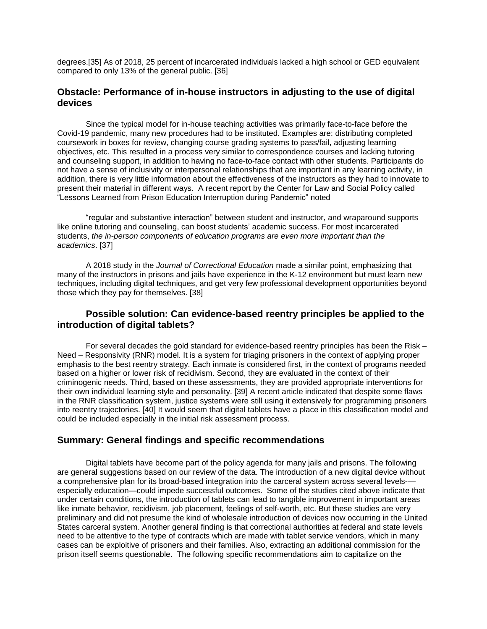degrees.[35] As of 2018, 25 percent of incarcerated individuals lacked a high school or GED equivalent compared to only 13% of the general public. [36]

#### **Obstacle: Performance of in-house instructors in adjusting to the use of digital devices**

Since the typical model for in-house teaching activities was primarily face-to-face before the Covid-19 pandemic, many new procedures had to be instituted. Examples are: distributing completed coursework in boxes for review, changing course grading systems to pass/fail, adjusting learning objectives, etc. This resulted in a process very similar to correspondence courses and lacking tutoring and counseling support, in addition to having no face-to-face contact with other students. Participants do not have a sense of inclusivity or interpersonal relationships that are important in any learning activity, in addition, there is very little information about the effectiveness of the instructors as they had to innovate to present their material in different ways. A recent report by the Center for Law and Social Policy called "Lessons Learned from Prison Education Interruption during Pandemic" noted

"regular and substantive interaction" between student and instructor, and wraparound supports like online tutoring and counseling, can boost students' academic success. For most incarcerated students, *the in-person components of education programs are even more important than the academics*. [37]

A 2018 study in the *Journal of Correctional Education* made a similar point, emphasizing that many of the instructors in prisons and jails have experience in the K-12 environment but must learn new techniques, including digital techniques, and get very few professional development opportunities beyond those which they pay for themselves. [38]

## **Possible solution: Can evidence-based reentry principles be applied to the introduction of digital tablets?**

For several decades the gold standard for evidence-based reentry principles has been the Risk – Need – Responsivity (RNR) model. It is a system for triaging prisoners in the context of applying proper emphasis to the best reentry strategy. Each inmate is considered first, in the context of programs needed based on a higher or lower risk of recidivism. Second, they are evaluated in the context of their criminogenic needs. Third, based on these assessments, they are provided appropriate interventions for their own individual learning style and personality. [39] A recent article indicated that despite some flaws in the RNR classification system, justice systems were still using it extensively for programming prisoners into reentry trajectories. [40] It would seem that digital tablets have a place in this classification model and could be included especially in the initial risk assessment process.

#### **Summary: General findings and specific recommendations**

Digital tablets have become part of the policy agenda for many jails and prisons. The following are general suggestions based on our review of the data. The introduction of a new digital device without a comprehensive plan for its broad-based integration into the carceral system across several levels- especially education—could impede successful outcomes. Some of the studies cited above indicate that under certain conditions, the introduction of tablets can lead to tangible improvement in important areas like inmate behavior, recidivism, job placement, feelings of self-worth, etc. But these studies are very preliminary and did not presume the kind of wholesale introduction of devices now occurring in the United States carceral system. Another general finding is that correctional authorities at federal and state levels need to be attentive to the type of contracts which are made with tablet service vendors, which in many cases can be exploitive of prisoners and their families. Also, extracting an additional commission for the prison itself seems questionable. The following specific recommendations aim to capitalize on the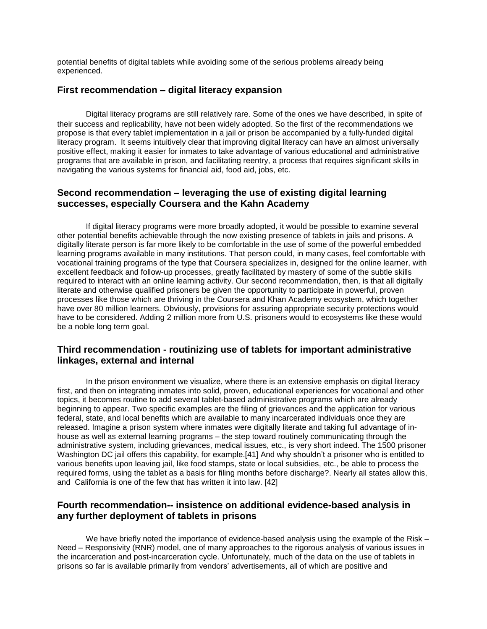potential benefits of digital tablets while avoiding some of the serious problems already being experienced.

#### **First recommendation – digital literacy expansion**

Digital literacy programs are still relatively rare. Some of the ones we have described, in spite of their success and replicability, have not been widely adopted. So the first of the recommendations we propose is that every tablet implementation in a jail or prison be accompanied by a fully-funded digital literacy program. It seems intuitively clear that improving digital literacy can have an almost universally positive effect, making it easier for inmates to take advantage of various educational and administrative programs that are available in prison, and facilitating reentry, a process that requires significant skills in navigating the various systems for financial aid, food aid, jobs, etc.

## **Second recommendation – leveraging the use of existing digital learning successes, especially Coursera and the Kahn Academy**

If digital literacy programs were more broadly adopted, it would be possible to examine several other potential benefits achievable through the now existing presence of tablets in jails and prisons. A digitally literate person is far more likely to be comfortable in the use of some of the powerful embedded learning programs available in many institutions. That person could, in many cases, feel comfortable with vocational training programs of the type that Coursera specializes in, designed for the online learner, with excellent feedback and follow-up processes, greatly facilitated by mastery of some of the subtle skills required to interact with an online learning activity. Our second recommendation, then, is that all digitally literate and otherwise qualified prisoners be given the opportunity to participate in powerful, proven processes like those which are thriving in the Coursera and Khan Academy ecosystem, which together have over 80 million learners. Obviously, provisions for assuring appropriate security protections would have to be considered. Adding 2 million more from U.S. prisoners would to ecosystems like these would be a noble long term goal.

## **Third recommendation - routinizing use of tablets for important administrative linkages, external and internal**

In the prison environment we visualize, where there is an extensive emphasis on digital literacy first, and then on integrating inmates into solid, proven, educational experiences for vocational and other topics, it becomes routine to add several tablet-based administrative programs which are already beginning to appear. Two specific examples are the filing of grievances and the application for various federal, state, and local benefits which are available to many incarcerated individuals once they are released. Imagine a prison system where inmates were digitally literate and taking full advantage of inhouse as well as external learning programs – the step toward routinely communicating through the administrative system, including grievances, medical issues, etc., is very short indeed. The 1500 prisoner Washington DC jail offers this capability, for example.[41] And why shouldn't a prisoner who is entitled to various benefits upon leaving jail, like food stamps, state or local subsidies, etc., be able to process the required forms, using the tablet as a basis for filing months before discharge?. Nearly all states allow this, and California is one of the few that has written it into law. [42]

## **Fourth recommendation-- insistence on additional evidence-based analysis in any further deployment of tablets in prisons**

We have briefly noted the importance of evidence-based analysis using the example of the Risk – Need – Responsivity (RNR) model, one of many approaches to the rigorous analysis of various issues in the incarceration and post-incarceration cycle. Unfortunately, much of the data on the use of tablets in prisons so far is available primarily from vendors' advertisements, all of which are positive and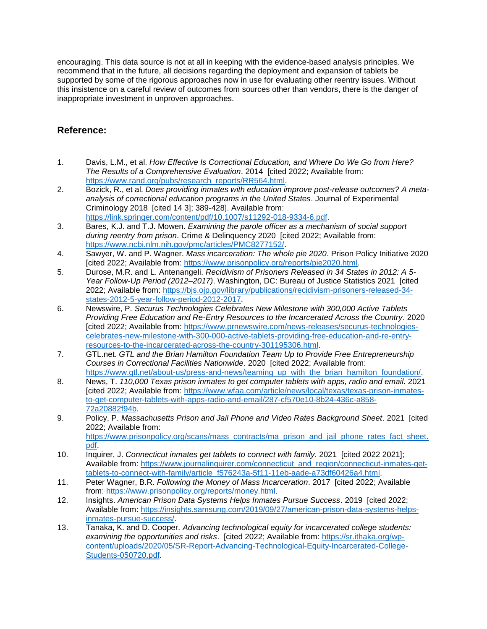encouraging. This data source is not at all in keeping with the evidence-based analysis principles. We recommend that in the future, all decisions regarding the deployment and expansion of tablets be supported by some of the rigorous approaches now in use for evaluating other reentry issues. Without this insistence on a careful review of outcomes from sources other than vendors, there is the danger of inappropriate investment in unproven approaches.

# **Reference:**

- 1. Davis, L.M., et al. *How Effective Is Correctional Education, and Where Do We Go from Here? The Results of a Comprehensive Evaluation*. 2014 [cited 2022; Available from: [https://www.rand.org/pubs/research\\_reports/RR564.html.](https://www.rand.org/pubs/research_reports/RR564.html)
- 2. Bozick, R., et al. *Does providing inmates with education improve post-release outcomes? A metaanalysis of correctional education programs in the United States*. Journal of Experimental Criminology 2018 [cited 14 3]; 389-428]. Available from: [https://link.springer.com/content/pdf/10.1007/s11292-018-9334-6.pdf.](https://link.springer.com/content/pdf/10.1007/s11292-018-9334-6.pdf)
- 3. Bares, K.J. and T.J. Mowen. *Examining the parole officer as a mechanism of social support during reentry from prison*. Crime & Delinquency 2020 [cited 2022; Available from: [https://www.ncbi.nlm.nih.gov/pmc/articles/PMC8277152/.](https://www.ncbi.nlm.nih.gov/pmc/articles/PMC8277152/)
- 4. Sawyer, W. and P. Wagner. *Mass incarceration: The whole pie 2020*. Prison Policy Initiative 2020 [cited 2022; Available from: [https://www.prisonpolicy.org/reports/pie2020.html.](https://www.prisonpolicy.org/reports/pie2020.html)
- 5. Durose, M.R. and L. Antenangeli. *Recidivism of Prisoners Released in 34 States in 2012: A 5- Year Follow-Up Period (2012–2017)*. Washington, DC: Bureau of Justice Statistics 2021 [cited 2022; Available from[: https://bjs.ojp.gov/library/publications/recidivism-prisoners-released-34](https://bjs.ojp.gov/library/publications/recidivism-prisoners-released-34-states-2012-5-year-follow-period-2012-2017) [states-2012-5-year-follow-period-2012-2017.](https://bjs.ojp.gov/library/publications/recidivism-prisoners-released-34-states-2012-5-year-follow-period-2012-2017)
- 6. Newswire, P. *Securus Technologies Celebrates New Milestone with 300,000 Active Tablets Providing Free Education and Re-Entry Resources to the Incarcerated Across the Country*. 2020 [cited 2022; Available from: [https://www.prnewswire.com/news-releases/securus-technologies](https://www.prnewswire.com/news-releases/securus-technologies-celebrates-new-milestone-with-300-000-active-tablets-providing-free-education-and-re-entry-resources-to-the-incarcerated-across-the-country-301195306.html)[celebrates-new-milestone-with-300-000-active-tablets-providing-free-education-and-re-entry](https://www.prnewswire.com/news-releases/securus-technologies-celebrates-new-milestone-with-300-000-active-tablets-providing-free-education-and-re-entry-resources-to-the-incarcerated-across-the-country-301195306.html)[resources-to-the-incarcerated-across-the-country-301195306.html.](https://www.prnewswire.com/news-releases/securus-technologies-celebrates-new-milestone-with-300-000-active-tablets-providing-free-education-and-re-entry-resources-to-the-incarcerated-across-the-country-301195306.html)
- 7. GTL.net. *GTL and the Brian Hamilton Foundation Team Up to Provide Free Entrepreneurship Courses in Correctional Facilities Nationwide*. 2020 [cited 2022; Available from: [https://www.gtl.net/about-us/press-and-news/teaming\\_up\\_with\\_the\\_brian\\_hamilton\\_foundation/.](https://www.gtl.net/about-us/press-and-news/teaming_up_with_the_brian_hamilton_foundation/)
- 8. News, T. *110,000 Texas prison inmates to get computer tablets with apps, radio and email*. 2021 [cited 2022; Available from: [https://www.wfaa.com/article/news/local/texas/texas-prison-inmates](https://www.wfaa.com/article/news/local/texas/texas-prison-inmates-to-get-computer-tablets-with-apps-radio-and-email/287-cf570e10-8b24-436c-a858-72a20882f94b)[to-get-computer-tablets-with-apps-radio-and-email/287-cf570e10-8b24-436c-a858-](https://www.wfaa.com/article/news/local/texas/texas-prison-inmates-to-get-computer-tablets-with-apps-radio-and-email/287-cf570e10-8b24-436c-a858-72a20882f94b) [72a20882f94b.](https://www.wfaa.com/article/news/local/texas/texas-prison-inmates-to-get-computer-tablets-with-apps-radio-and-email/287-cf570e10-8b24-436c-a858-72a20882f94b)
- 9. Policy, P. *Massachusetts Prison and Jail Phone and Video Rates Background Sheet*. 2021 [cited 2022; Available from: [https://www.prisonpolicy.org/scans/mass\\_contracts/ma\\_prison\\_and\\_jail\\_phone\\_rates\\_fact\\_sheet.](https://www.prisonpolicy.org/scans/mass_contracts/ma_prison_and_jail_phone_rates_fact_sheet.pdf) [pdf.](https://www.prisonpolicy.org/scans/mass_contracts/ma_prison_and_jail_phone_rates_fact_sheet.pdf)
- 10. Inquirer, J. *Connecticut inmates get tablets to connect with family*. 2021 [cited 2022 2021]; Available from: [https://www.journalinquirer.com/connecticut\\_and\\_region/connecticut-inmates-get](https://www.journalinquirer.com/connecticut_and_region/connecticut-inmates-get-tablets-to-connect-with-family/article_f576243a-5f11-11eb-aade-a73df60426a4.html)[tablets-to-connect-with-family/article\\_f576243a-5f11-11eb-aade-a73df60426a4.html.](https://www.journalinquirer.com/connecticut_and_region/connecticut-inmates-get-tablets-to-connect-with-family/article_f576243a-5f11-11eb-aade-a73df60426a4.html)
- 11. Peter Wagner, B.R. *Following the Money of Mass Incarceration*. 2017 [cited 2022; Available from: [https://www.prisonpolicy.org/reports/money.html.](https://www.prisonpolicy.org/reports/money.html)
- 12. Insights. *American Prison Data Systems Helps Inmates Pursue Success*. 2019 [cited 2022; Available from: [https://insights.samsung.com/2019/09/27/american-prison-data-systems-helps](https://insights.samsung.com/2019/09/27/american-prison-data-systems-helps-inmates-pursue-success/)[inmates-pursue-success/.](https://insights.samsung.com/2019/09/27/american-prison-data-systems-helps-inmates-pursue-success/)
- 13. Tanaka, K. and D. Cooper. *Advancing technological equity for incarcerated college students: examining the opportunities and risks*. [cited 2022; Available from: [https://sr.ithaka.org/wp](https://sr.ithaka.org/wp-content/uploads/2020/05/SR-Report-Advancing-Technological-Equity-Incarcerated-College-Students-050720.pdf)[content/uploads/2020/05/SR-Report-Advancing-Technological-Equity-Incarcerated-College-](https://sr.ithaka.org/wp-content/uploads/2020/05/SR-Report-Advancing-Technological-Equity-Incarcerated-College-Students-050720.pdf)[Students-050720.pdf.](https://sr.ithaka.org/wp-content/uploads/2020/05/SR-Report-Advancing-Technological-Equity-Incarcerated-College-Students-050720.pdf)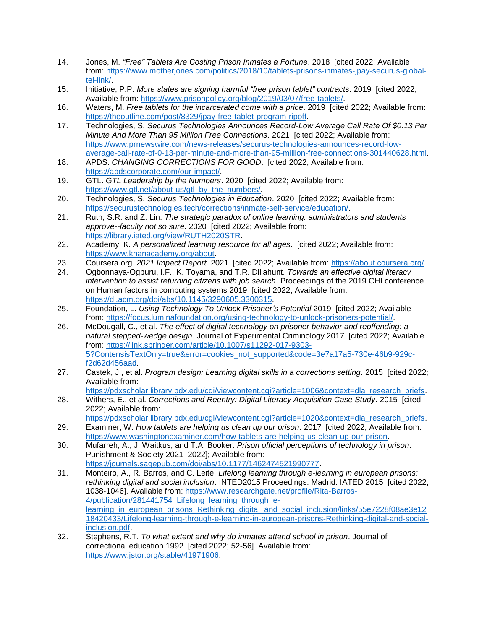- 14. Jones, M. *"Free" Tablets Are Costing Prison Inmates a Fortune*. 2018 [cited 2022; Available from: [https://www.motherjones.com/politics/2018/10/tablets-prisons-inmates-jpay-securus-global](https://www.motherjones.com/politics/2018/10/tablets-prisons-inmates-jpay-securus-global-tel-link/)[tel-link/.](https://www.motherjones.com/politics/2018/10/tablets-prisons-inmates-jpay-securus-global-tel-link/)
- 15. Initiative, P.P. *More states are signing harmful "free prison tablet" contracts*. 2019 [cited 2022; Available from: [https://www.prisonpolicy.org/blog/2019/03/07/free-tablets/.](https://www.prisonpolicy.org/blog/2019/03/07/free-tablets/)
- 16. Waters, M. *Free tablets for the incarcerated come with a price*. 2019 [cited 2022; Available from: [https://theoutline.com/post/8329/jpay-free-tablet-program-ripoff.](https://theoutline.com/post/8329/jpay-free-tablet-program-ripoff)
- 17. Technologies, S. *Securus Technologies Announces Record-Low Average Call Rate Of \$0.13 Per Minute And More Than 95 Million Free Connections*. 2021 [cited 2022; Available from: [https://www.prnewswire.com/news-releases/securus-technologies-announces-record-low](https://www.prnewswire.com/news-releases/securus-technologies-announces-record-low-average-call-rate-of-0-13-per-minute-and-more-than-95-million-free-connections-301440628.html)[average-call-rate-of-0-13-per-minute-and-more-than-95-million-free-connections-301440628.html.](https://www.prnewswire.com/news-releases/securus-technologies-announces-record-low-average-call-rate-of-0-13-per-minute-and-more-than-95-million-free-connections-301440628.html)
- 18. APDS. *CHANGING CORRECTIONS FOR GOOD*. [cited 2022; Available from: [https://apdscorporate.com/our-impact/.](https://apdscorporate.com/our-impact/)
- 19. GTL. *GTL Leadership by the Numbers*. 2020 [cited 2022; Available from: [https://www.gtl.net/about-us/gtl\\_by\\_the\\_numbers/.](https://www.gtl.net/about-us/gtl_by_the_numbers/)
- 20. Technologies, S. *Securus Technologies in Education*. 2020 [cited 2022; Available from: [https://securustechnologies.tech/corrections/inmate-self-service/education/.](https://securustechnologies.tech/corrections/inmate-self-service/education/)
- 21. Ruth, S.R. and Z. Lin. *The strategic paradox of online learning: administrators and students approve--faculty not so sure*. 2020 [cited 2022; Available from: [https://library.iated.org/view/RUTH2020STR.](https://library.iated.org/view/RUTH2020STR)
- 22. Academy, K. *A personalized learning resource for all ages*. [cited 2022; Available from: [https://www.khanacademy.org/about.](https://www.khanacademy.org/about)
- 23. Coursera.org. *2021 Impact Report*. 2021 [cited 2022; Available from: [https://about.coursera.org/.](https://about.coursera.org/)
- 24. Ogbonnaya-Ogburu, I.F., K. Toyama, and T.R. Dillahunt. *Towards an effective digital literacy intervention to assist returning citizens with job search*. Proceedings of the 2019 CHI conference on Human factors in computing systems 2019 [cited 2022; Available from: [https://dl.acm.org/doi/abs/10.1145/3290605.3300315.](https://dl.acm.org/doi/abs/10.1145/3290605.3300315)
- 25. Foundation, L. *Using Technology To Unlock Prisoner's Potential* 2019 [cited 2022; Available from: [https://focus.luminafoundation.org/using-technology-to-unlock-prisoners-potential/.](https://focus.luminafoundation.org/using-technology-to-unlock-prisoners-potential/)
- 26. McDougall, C., et al. *The effect of digital technology on prisoner behavior and reoffending: a natural stepped-wedge design*. Journal of Experimental Criminology 2017 [cited 2022; Available from: [https://link.springer.com/article/10.1007/s11292-017-9303-](https://link.springer.com/article/10.1007/s11292-017-9303-5?ContensisTextOnly=true&error=cookies_not_supported&code=3e7a17a5-730e-46b9-929c-f2d62d456aad) [5?ContensisTextOnly=true&error=cookies\\_not\\_supported&code=3e7a17a5-730e-46b9-929c](https://link.springer.com/article/10.1007/s11292-017-9303-5?ContensisTextOnly=true&error=cookies_not_supported&code=3e7a17a5-730e-46b9-929c-f2d62d456aad)[f2d62d456aad.](https://link.springer.com/article/10.1007/s11292-017-9303-5?ContensisTextOnly=true&error=cookies_not_supported&code=3e7a17a5-730e-46b9-929c-f2d62d456aad)
- 27. Castek, J., et al. *Program design: Learning digital skills in a corrections setting*. 2015 [cited 2022; Available from:

[https://pdxscholar.library.pdx.edu/cgi/viewcontent.cgi?article=1006&context=dla\\_research\\_briefs.](https://pdxscholar.library.pdx.edu/cgi/viewcontent.cgi?article=1006&context=dla_research_briefs)

- 28. Withers, E., et al. *Corrections and Reentry: Digital Literacy Acquisition Case Study*. 2015 [cited 2022; Available from:
- [https://pdxscholar.library.pdx.edu/cgi/viewcontent.cgi?article=1020&context=dla\\_research\\_briefs.](https://pdxscholar.library.pdx.edu/cgi/viewcontent.cgi?article=1020&context=dla_research_briefs) 29. Examiner, W. *How tablets are helping us clean up our prison*. 2017 [cited 2022; Available from:
- [https://www.washingtonexaminer.com/how-tablets-are-helping-us-clean-up-our-prison.](https://www.washingtonexaminer.com/how-tablets-are-helping-us-clean-up-our-prison) 30. Mufarreh, A., J. Waitkus, and T.A. Booker. *Prison official perceptions of technology in prison*.

Punishment & Society 2021 2022]; Available from: [https://journals.sagepub.com/doi/abs/10.1177/1462474521990777.](https://journals.sagepub.com/doi/abs/10.1177/1462474521990777)

- 31. Monteiro, A., R. Barros, and C. Leite. *Lifelong learning through e-learning in european prisons: rethinking digital and social inclusion*. INTED2015 Proceedings. Madrid: IATED 2015 [cited 2022; 1038-1046]. Available from: [https://www.researchgate.net/profile/Rita-Barros-](https://www.researchgate.net/profile/Rita-Barros-4/publication/281441754_Lifelong_learning_through_e-learning_in_european_prisons_Rethinking_digital_and_social_inclusion/links/55e7228f08ae3e1218420433/Lifelong-learning-through-e-learning-in-european-prisons-Rethinking-digital-and-social-inclusion.pdf)[4/publication/281441754\\_Lifelong\\_learning\\_through\\_e](https://www.researchgate.net/profile/Rita-Barros-4/publication/281441754_Lifelong_learning_through_e-learning_in_european_prisons_Rethinking_digital_and_social_inclusion/links/55e7228f08ae3e1218420433/Lifelong-learning-through-e-learning-in-european-prisons-Rethinking-digital-and-social-inclusion.pdf)learning in european prisons Rethinking digital and social inclusion/links/55e7228f08ae3e12 [18420433/Lifelong-learning-through-e-learning-in-european-prisons-Rethinking-digital-and-social](https://www.researchgate.net/profile/Rita-Barros-4/publication/281441754_Lifelong_learning_through_e-learning_in_european_prisons_Rethinking_digital_and_social_inclusion/links/55e7228f08ae3e1218420433/Lifelong-learning-through-e-learning-in-european-prisons-Rethinking-digital-and-social-inclusion.pdf)[inclusion.pdf.](https://www.researchgate.net/profile/Rita-Barros-4/publication/281441754_Lifelong_learning_through_e-learning_in_european_prisons_Rethinking_digital_and_social_inclusion/links/55e7228f08ae3e1218420433/Lifelong-learning-through-e-learning-in-european-prisons-Rethinking-digital-and-social-inclusion.pdf)
- 32. Stephens, R.T. *To what extent and why do inmates attend school in prison*. Journal of correctional education 1992 [cited 2022; 52-56]. Available from: [https://www.jstor.org/stable/41971906.](https://www.jstor.org/stable/41971906)